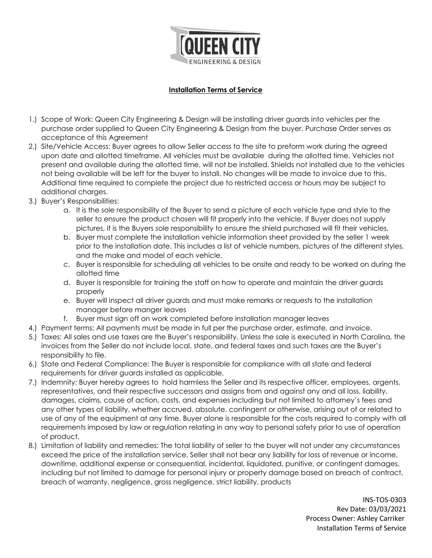

## **Installation Terms of Service**

- 1.) Scope of Work: Queen City Engineering & Design will be installing driver guards into vehicles per the purchase order supplied to Queen City Engineering & Design from the buyer. Purchase Order serves as acceptance of this Agreement
- 2.) Site/Vehicle Access: Buyer agrees to allow Seller access to the site to preform work during the agreed upon date and allotted timeframe. All vehicles must be available during the allotted time. Vehicles not present and available during the allotted time, will not be installed. Shields not installed due to the vehicles not being available will be left for the buyer to install. No changes will be made to invoice due to this. Additional time required to complete the project due to restricted access or hours may be subject to additional charges.
- 3.) Buyer's Responsibilities:
	- a. It is the sole responsibility of the Buyer to send a picture of each vehicle type and style to the seller to ensure the product chosen will fit properly into the vehicle. If Buyer does not supply pictures, it is the Buyers sole responsibility to ensure the shield purchased will fit their vehicles.
	- b. Buyer must complete the installation vehicle information sheet provided by the seller 1 week prior to the installation date. This includes a list of vehicle numbers, pictures of the different styles, and the make and model of each vehicle.
	- c. Buyer is responsible for scheduling all vehicles to be onsite and ready to be worked on during the allotted time
	- d. Buyer is responsible for training the staff on how to operate and maintain the driver guards properly
	- e. Buyer will inspect all driver guards and must make remarks or requests to the installation manager before manger leaves
	- f. Buyer must sign off on work completed before installation manager leaves
- 4.) Payment terms: All payments must be made in full per the purchase order, estimate, and invoice.
- 5.) Taxes: All sales and use taxes are the Buyer's responsibility. Unless the sale is executed in North Carolina, the invoices from the Seller do not include local, state, and federal taxes and such taxes are the Buyer's responsibility to file.
- 6.) State and Federal Compliance: The Buyer is responsible for compliance with all state and federal requirements for driver guards installed as applicable.
- 7.) Indemnity: Buyer hereby agrees to hold harmless the Seller and its respective officer, employees, argents, representatives, and their respective successors and assigns from and against any and all loss, liability, damages, claims, cause of action, costs, and expenses including but not limited to attorney's fees and any other types of liability, whether accrued, absolute, contingent or otherwise, arising out of or related to use of any of the equipment at any time. Buyer alone is responsible for the costs required to comply with all requirements imposed by law or regulation relating in any way to personal safety prior to use of operation of product.
- 8.) Limitation of liability and remedies: The total liability of seller to the buyer will not under any circumstances exceed the price of the installation service. Seller shall not bear any liability for loss of revenue or income, downtime, additional expense or consequential, incidental, liquidated, punitive, or contingent damages, including but not limited to damage for personal injury or property damage based on breach of contract, breach of warranty, negligence, gross negligence, strict liability, products